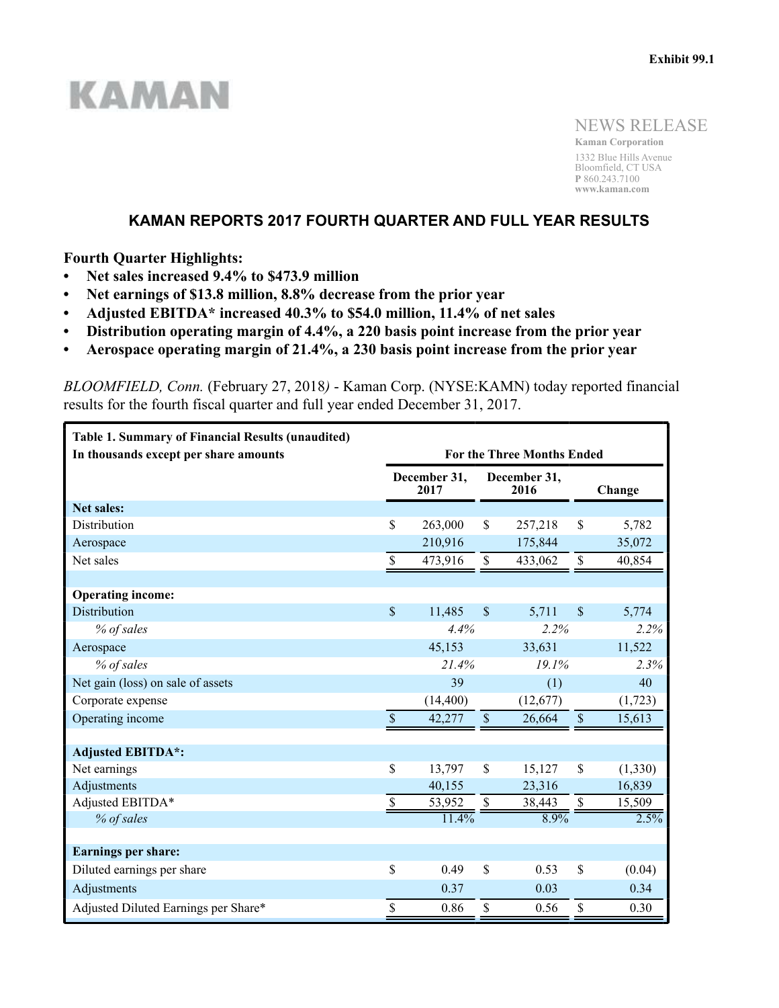# **KAMAN**

NEWS RELEASE

**Kaman Corporation** 1332 Blue Hills Avenue Bloomfield, CT USA **P** 860.243.7100 **www.kaman.com**

## **KAMAN REPORTS 2017 FOURTH QUARTER AND FULL YEAR RESULTS**

**Fourth Quarter Highlights:**

- **Net sales increased 9.4% to \$473.9 million**
- **Net earnings of \$13.8 million, 8.8% decrease from the prior year**
- **Adjusted EBITDA\* increased 40.3% to \$54.0 million, 11.4% of net sales**
- **Distribution operating margin of 4.4%, a 220 basis point increase from the prior year**
- **Aerospace operating margin of 21.4%, a 230 basis point increase from the prior year**

*BLOOMFIELD, Conn.* (February 27, 2018*)* - Kaman Corp. (NYSE:KAMN) today reported financial results for the fourth fiscal quarter and full year ended December 31, 2017.

| <b>Table 1. Summary of Financial Results (unaudited)</b><br>In thousands except per share amounts | <b>For the Three Months Ended</b> |                      |                          |                      |                           |          |  |  |  |
|---------------------------------------------------------------------------------------------------|-----------------------------------|----------------------|--------------------------|----------------------|---------------------------|----------|--|--|--|
|                                                                                                   |                                   | December 31,<br>2017 |                          | December 31,<br>2016 |                           | Change   |  |  |  |
| <b>Net sales:</b>                                                                                 |                                   |                      |                          |                      |                           |          |  |  |  |
| Distribution                                                                                      | \$                                | 263,000              | \$                       | 257,218              | \$                        | 5,782    |  |  |  |
| Aerospace                                                                                         |                                   | 210,916              |                          | 175,844              |                           | 35,072   |  |  |  |
| Net sales                                                                                         | $\overline{\mathcal{S}}$          | 473,916              | $\overline{\mathcal{S}}$ | 433,062              | $\overline{\mathcal{S}}$  | 40,854   |  |  |  |
|                                                                                                   |                                   |                      |                          |                      |                           |          |  |  |  |
| <b>Operating income:</b>                                                                          |                                   |                      |                          |                      |                           |          |  |  |  |
| <b>Distribution</b>                                                                               | $\mathsf{\$}$                     | 11,485               | $\mathcal{S}$            | 5,711                | $\mathsf{\$}$             | 5,774    |  |  |  |
| % of sales                                                                                        |                                   | 4.4%                 |                          | 2.2%                 |                           | 2.2%     |  |  |  |
| Aerospace                                                                                         |                                   | 45,153               |                          | 33,631               |                           | 11,522   |  |  |  |
| % of sales                                                                                        |                                   | 21.4%                |                          | 19.1%                |                           | 2.3%     |  |  |  |
| Net gain (loss) on sale of assets                                                                 |                                   | 39                   |                          | (1)                  |                           | 40       |  |  |  |
| Corporate expense                                                                                 |                                   | (14, 400)            |                          | (12,677)             |                           | (1, 723) |  |  |  |
| Operating income                                                                                  | $\mathcal{S}$                     | 42,277               | $\mathbb S$              | 26,664               | $\mathbb S$               | 15,613   |  |  |  |
|                                                                                                   |                                   |                      |                          |                      |                           |          |  |  |  |
| <b>Adjusted EBITDA*:</b>                                                                          |                                   |                      |                          |                      |                           |          |  |  |  |
| Net earnings                                                                                      | \$                                | 13,797               | $\mathbf S$              | 15,127               | $\mathbf S$               | (1,330)  |  |  |  |
| Adjustments                                                                                       |                                   | 40,155               |                          | 23,316               |                           | 16,839   |  |  |  |
| Adjusted EBITDA*                                                                                  | $\mathbb{S}$                      | 53,952               | \$                       | 38,443               | $\boldsymbol{\mathsf{S}}$ | 15,509   |  |  |  |
| % of sales                                                                                        |                                   | 11.4%                |                          | 8.9%                 |                           | 2.5%     |  |  |  |
|                                                                                                   |                                   |                      |                          |                      |                           |          |  |  |  |
| <b>Earnings per share:</b>                                                                        |                                   |                      |                          |                      |                           |          |  |  |  |
| Diluted earnings per share                                                                        | \$                                | 0.49                 | $\mathbf S$              | 0.53                 | $\mathbf S$               | (0.04)   |  |  |  |
| Adjustments                                                                                       |                                   | 0.37                 |                          | 0.03                 |                           | 0.34     |  |  |  |
| Adjusted Diluted Earnings per Share*                                                              | \$                                | 0.86                 | \$                       | 0.56                 | \$                        | 0.30     |  |  |  |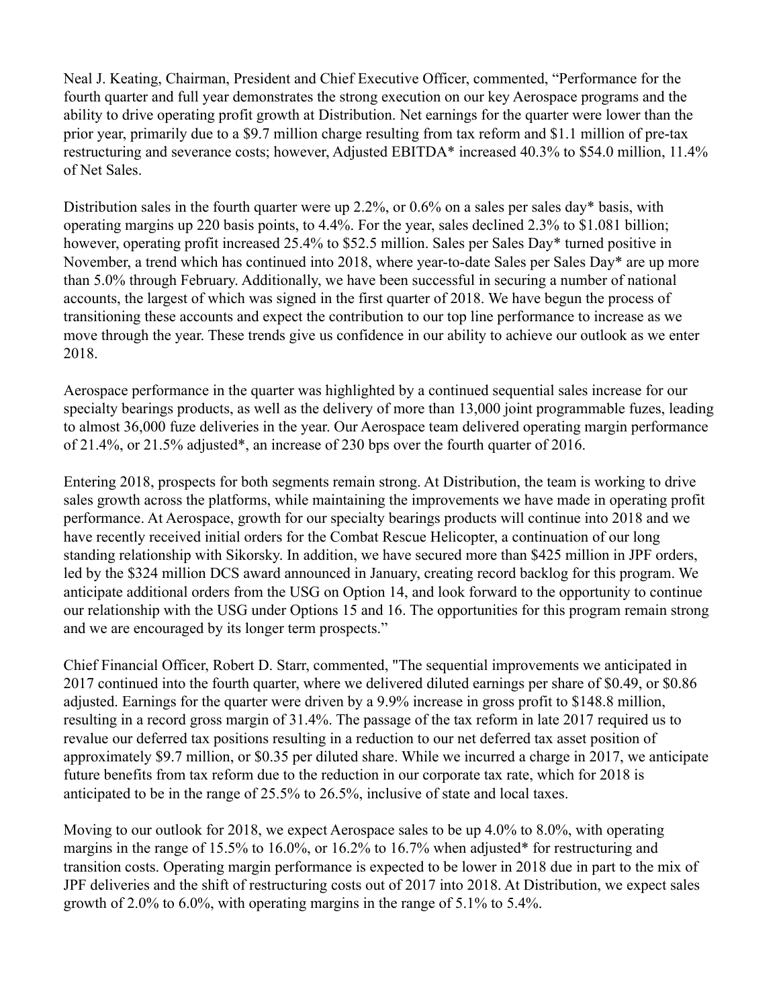Neal J. Keating, Chairman, President and Chief Executive Officer, commented, "Performance for the fourth quarter and full year demonstrates the strong execution on our key Aerospace programs and the ability to drive operating profit growth at Distribution. Net earnings for the quarter were lower than the prior year, primarily due to a \$9.7 million charge resulting from tax reform and \$1.1 million of pre-tax restructuring and severance costs; however, Adjusted EBITDA\* increased 40.3% to \$54.0 million, 11.4% of Net Sales.

Distribution sales in the fourth quarter were up 2.2%, or 0.6% on a sales per sales day\* basis, with operating margins up 220 basis points, to 4.4%. For the year, sales declined 2.3% to \$1.081 billion; however, operating profit increased 25.4% to \$52.5 million. Sales per Sales Day\* turned positive in November, a trend which has continued into 2018, where year-to-date Sales per Sales Day\* are up more than 5.0% through February. Additionally, we have been successful in securing a number of national accounts, the largest of which was signed in the first quarter of 2018. We have begun the process of transitioning these accounts and expect the contribution to our top line performance to increase as we move through the year. These trends give us confidence in our ability to achieve our outlook as we enter 2018.

Aerospace performance in the quarter was highlighted by a continued sequential sales increase for our specialty bearings products, as well as the delivery of more than 13,000 joint programmable fuzes, leading to almost 36,000 fuze deliveries in the year. Our Aerospace team delivered operating margin performance of 21.4%, or 21.5% adjusted\*, an increase of 230 bps over the fourth quarter of 2016.

Entering 2018, prospects for both segments remain strong. At Distribution, the team is working to drive sales growth across the platforms, while maintaining the improvements we have made in operating profit performance. At Aerospace, growth for our specialty bearings products will continue into 2018 and we have recently received initial orders for the Combat Rescue Helicopter, a continuation of our long standing relationship with Sikorsky. In addition, we have secured more than \$425 million in JPF orders, led by the \$324 million DCS award announced in January, creating record backlog for this program. We anticipate additional orders from the USG on Option 14, and look forward to the opportunity to continue our relationship with the USG under Options 15 and 16. The opportunities for this program remain strong and we are encouraged by its longer term prospects."

Chief Financial Officer, Robert D. Starr, commented, "The sequential improvements we anticipated in 2017 continued into the fourth quarter, where we delivered diluted earnings per share of \$0.49, or \$0.86 adjusted. Earnings for the quarter were driven by a 9.9% increase in gross profit to \$148.8 million, resulting in a record gross margin of 31.4%. The passage of the tax reform in late 2017 required us to revalue our deferred tax positions resulting in a reduction to our net deferred tax asset position of approximately \$9.7 million, or \$0.35 per diluted share. While we incurred a charge in 2017, we anticipate future benefits from tax reform due to the reduction in our corporate tax rate, which for 2018 is anticipated to be in the range of 25.5% to 26.5%, inclusive of state and local taxes.

Moving to our outlook for 2018, we expect Aerospace sales to be up 4.0% to 8.0%, with operating margins in the range of 15.5% to 16.0%, or 16.2% to 16.7% when adjusted\* for restructuring and transition costs. Operating margin performance is expected to be lower in 2018 due in part to the mix of JPF deliveries and the shift of restructuring costs out of 2017 into 2018. At Distribution, we expect sales growth of 2.0% to 6.0%, with operating margins in the range of 5.1% to 5.4%.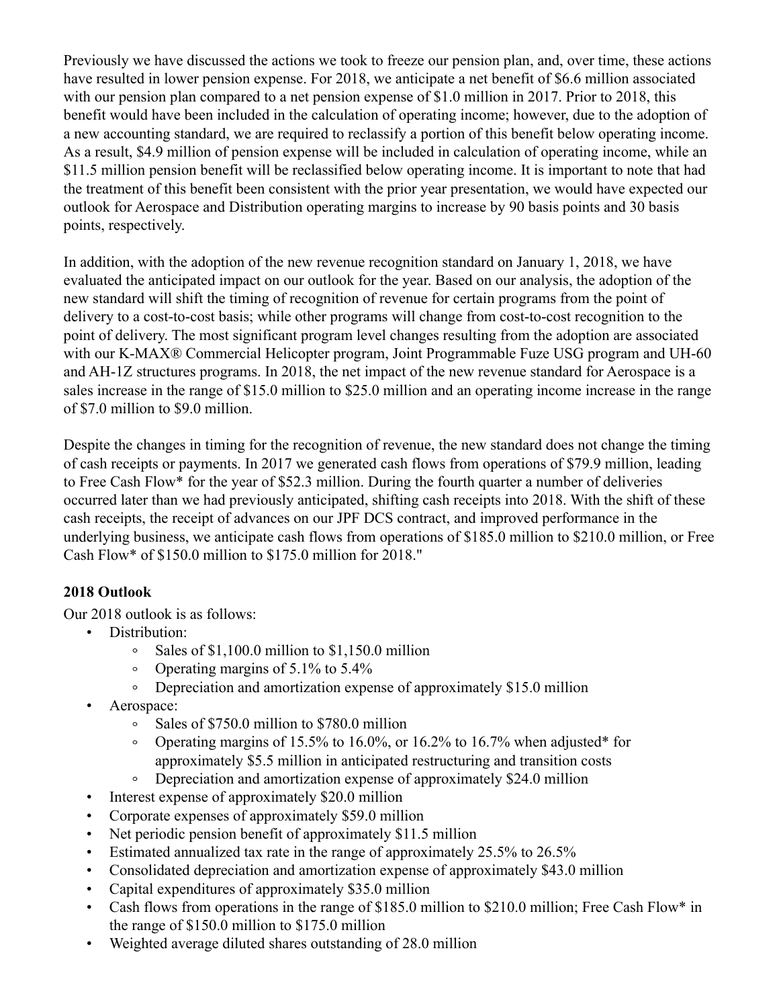Previously we have discussed the actions we took to freeze our pension plan, and, over time, these actions have resulted in lower pension expense. For 2018, we anticipate a net benefit of \$6.6 million associated with our pension plan compared to a net pension expense of \$1.0 million in 2017. Prior to 2018, this benefit would have been included in the calculation of operating income; however, due to the adoption of a new accounting standard, we are required to reclassify a portion of this benefit below operating income. As a result, \$4.9 million of pension expense will be included in calculation of operating income, while an \$11.5 million pension benefit will be reclassified below operating income. It is important to note that had the treatment of this benefit been consistent with the prior year presentation, we would have expected our outlook for Aerospace and Distribution operating margins to increase by 90 basis points and 30 basis points, respectively.

In addition, with the adoption of the new revenue recognition standard on January 1, 2018, we have evaluated the anticipated impact on our outlook for the year. Based on our analysis, the adoption of the new standard will shift the timing of recognition of revenue for certain programs from the point of delivery to a cost-to-cost basis; while other programs will change from cost-to-cost recognition to the point of delivery. The most significant program level changes resulting from the adoption are associated with our K-MAX® Commercial Helicopter program, Joint Programmable Fuze USG program and UH-60 and AH-1Z structures programs. In 2018, the net impact of the new revenue standard for Aerospace is a sales increase in the range of \$15.0 million to \$25.0 million and an operating income increase in the range of \$7.0 million to \$9.0 million.

Despite the changes in timing for the recognition of revenue, the new standard does not change the timing of cash receipts or payments. In 2017 we generated cash flows from operations of \$79.9 million, leading to Free Cash Flow\* for the year of \$52.3 million. During the fourth quarter a number of deliveries occurred later than we had previously anticipated, shifting cash receipts into 2018. With the shift of these cash receipts, the receipt of advances on our JPF DCS contract, and improved performance in the underlying business, we anticipate cash flows from operations of \$185.0 million to \$210.0 million, or Free Cash Flow\* of \$150.0 million to \$175.0 million for 2018."

# **2018 Outlook**

Our 2018 outlook is as follows:

- Distribution:
	- $\circ$ Sales of \$1,100.0 million to \$1,150.0 million
	- $\circ$ Operating margins of 5.1% to 5.4%
	- Depreciation and amortization expense of approximately \$15.0 million  $\circ$
- Aerospace:
	- Sales of \$750.0 million to \$780.0 million  $\circ$
	- Operating margins of 15.5% to 16.0%, or 16.2% to 16.7% when adjusted\* for  $\circ$ approximately \$5.5 million in anticipated restructuring and transition costs
	- Depreciation and amortization expense of approximately \$24.0 million
- Interest expense of approximately \$20.0 million
- Corporate expenses of approximately \$59.0 million
- Net periodic pension benefit of approximately \$11.5 million
- Estimated annualized tax rate in the range of approximately 25.5% to 26.5%
- Consolidated depreciation and amortization expense of approximately \$43.0 million
- Capital expenditures of approximately \$35.0 million
- Cash flows from operations in the range of \$185.0 million to \$210.0 million; Free Cash Flow\* in the range of \$150.0 million to \$175.0 million
- Weighted average diluted shares outstanding of 28.0 million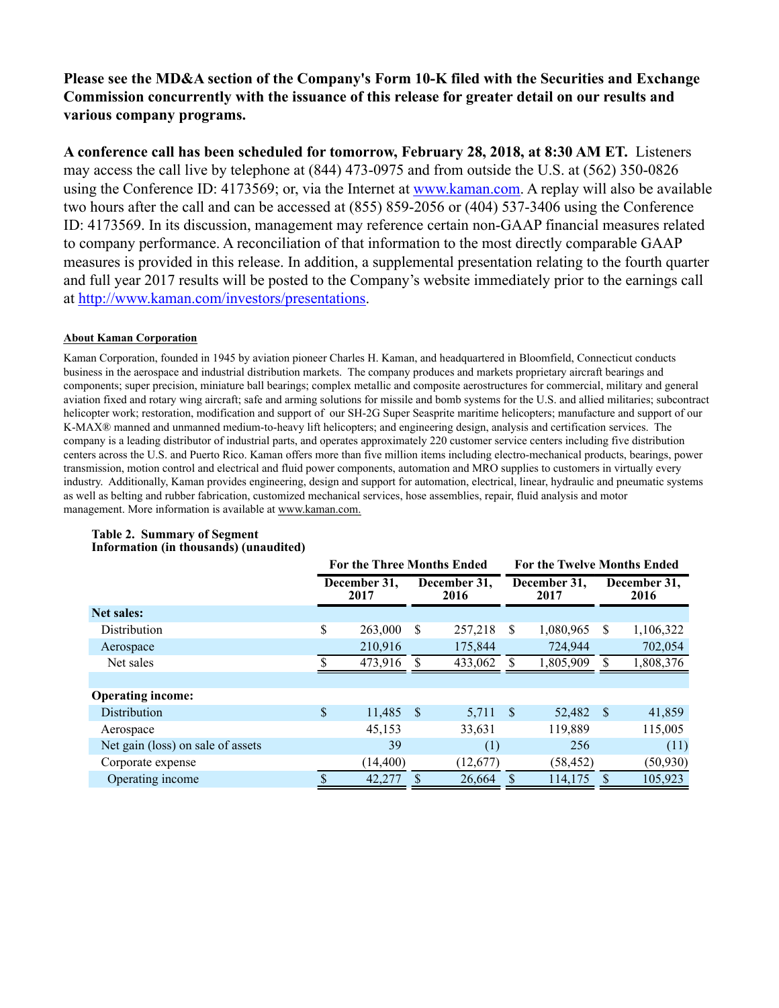**Please see the MD&A section of the Company's Form 10-K filed with the Securities and Exchange Commission concurrently with the issuance of this release for greater detail on our results and various company programs.**

**A conference call has been scheduled for tomorrow, February 28, 2018, at 8:30 AM ET.** Listeners may access the call live by telephone at (844) 473-0975 and from outside the U.S. at (562) 350-0826 using the Conference ID: 4173569; or, via the Internet at www.kaman.com. A replay will also be available two hours after the call and can be accessed at (855) 859-2056 or (404) 537-3406 using the Conference ID: 4173569. In its discussion, management may reference certain non-GAAP financial measures related to company performance. A reconciliation of that information to the most directly comparable GAAP measures is provided in this release. In addition, a supplemental presentation relating to the fourth quarter and full year 2017 results will be posted to the Company's website immediately prior to the earnings call at http://www.kaman.com/investors/presentations.

#### **About Kaman Corporation**

Kaman Corporation, founded in 1945 by aviation pioneer Charles H. Kaman, and headquartered in Bloomfield, Connecticut conducts business in the aerospace and industrial distribution markets. The company produces and markets proprietary aircraft bearings and components; super precision, miniature ball bearings; complex metallic and composite aerostructures for commercial, military and general aviation fixed and rotary wing aircraft; safe and arming solutions for missile and bomb systems for the U.S. and allied militaries; subcontract helicopter work; restoration, modification and support of our SH-2G Super Seasprite maritime helicopters; manufacture and support of our K-MAX® manned and unmanned medium-to-heavy lift helicopters; and engineering design, analysis and certification services. The company is a leading distributor of industrial parts, and operates approximately 220 customer service centers including five distribution centers across the U.S. and Puerto Rico. Kaman offers more than five million items including electro-mechanical products, bearings, power transmission, motion control and electrical and fluid power components, automation and MRO supplies to customers in virtually every industry. Additionally, Kaman provides engineering, design and support for automation, electrical, linear, hydraulic and pneumatic systems as well as belting and rubber fabrication, customized mechanical services, hose assemblies, repair, fluid analysis and motor management. More information is available at www.kaman.com.

|                                   | <b>For the Three Months Ended</b> |    |                      | <b>For the Twelve Months Ended</b> |                      |      |                      |  |  |
|-----------------------------------|-----------------------------------|----|----------------------|------------------------------------|----------------------|------|----------------------|--|--|
|                                   | December 31,<br>2017              |    | December 31,<br>2016 |                                    | December 31,<br>2017 |      | December 31,<br>2016 |  |  |
| <b>Net sales:</b>                 |                                   |    |                      |                                    |                      |      |                      |  |  |
| Distribution                      | \$<br>263,000                     | \$ | 257,218              | <sup>\$</sup>                      | 1,080,965            | S    | 1,106,322            |  |  |
| Aerospace                         | 210,916                           |    | 175,844              |                                    | 724,944              |      | 702,054              |  |  |
| Net sales                         | 473,916                           |    | 433,062              |                                    | 1,805,909            |      | 1,808,376            |  |  |
|                                   |                                   |    |                      |                                    |                      |      |                      |  |  |
| <b>Operating income:</b>          |                                   |    |                      |                                    |                      |      |                      |  |  |
| Distribution                      | \$<br>11,485                      | -S | 5,711                | <sup>S</sup>                       | 52,482               | - \$ | 41,859               |  |  |
| Aerospace                         | 45,153                            |    | 33,631               |                                    | 119,889              |      | 115,005              |  |  |
| Net gain (loss) on sale of assets | 39                                |    | (1)                  |                                    | 256                  |      | (11)                 |  |  |
| Corporate expense                 | (14, 400)                         |    | (12,677)             |                                    | (58, 452)            |      | (50, 930)            |  |  |
| Operating income                  | 42,277                            |    | 26,664               |                                    | 114,175              |      | 105,923              |  |  |

#### **Table 2. Summary of Segment Information (in thousands) (unaudited)**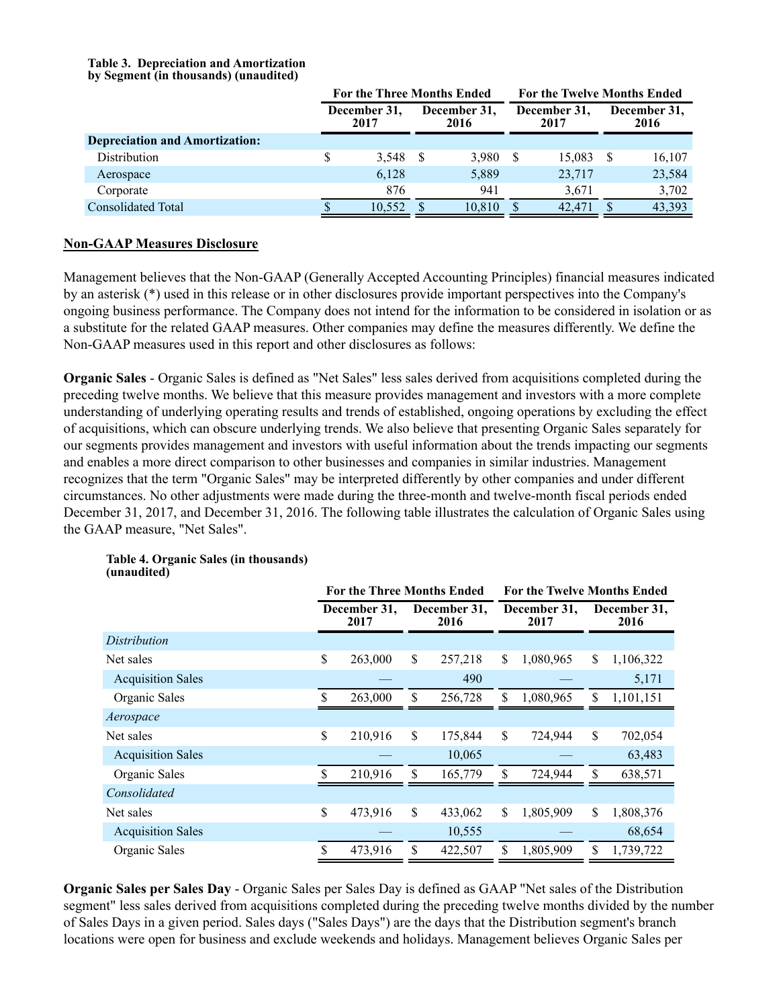#### **Table 3. Depreciation and Amortization by Segment (in thousands) (unaudited)**

|                                       |                                              | <b>For the Three Months Ended</b> |  | <b>For the Twelve Months Ended</b> |                      |        |  |        |
|---------------------------------------|----------------------------------------------|-----------------------------------|--|------------------------------------|----------------------|--------|--|--------|
|                                       | December 31.<br>December 31,<br>2016<br>2017 |                                   |  | December 31,<br>2017               | December 31,<br>2016 |        |  |        |
| <b>Depreciation and Amortization:</b> |                                              |                                   |  |                                    |                      |        |  |        |
| Distribution                          |                                              | 3,548                             |  | 3,980                              |                      | 15,083 |  | 16,107 |
| Aerospace                             |                                              | 6,128                             |  | 5,889                              |                      | 23,717 |  | 23,584 |
| Corporate                             |                                              | 876                               |  | 941                                |                      | 3,671  |  | 3,702  |
| <b>Consolidated Total</b>             |                                              | 10.552                            |  | 10.810                             |                      | 42.471 |  | 43,393 |

## **Non-GAAP Measures Disclosure**

Management believes that the Non-GAAP (Generally Accepted Accounting Principles) financial measures indicated by an asterisk (\*) used in this release or in other disclosures provide important perspectives into the Company's ongoing business performance. The Company does not intend for the information to be considered in isolation or as a substitute for the related GAAP measures. Other companies may define the measures differently. We define the Non-GAAP measures used in this report and other disclosures as follows:

**Organic Sales** - Organic Sales is defined as "Net Sales" less sales derived from acquisitions completed during the preceding twelve months. We believe that this measure provides management and investors with a more complete understanding of underlying operating results and trends of established, ongoing operations by excluding the effect of acquisitions, which can obscure underlying trends. We also believe that presenting Organic Sales separately for our segments provides management and investors with useful information about the trends impacting our segments and enables a more direct comparison to other businesses and companies in similar industries. Management recognizes that the term "Organic Sales" may be interpreted differently by other companies and under different circumstances. No other adjustments were made during the three-month and twelve-month fiscal periods ended December 31, 2017, and December 31, 2016. The following table illustrates the calculation of Organic Sales using the GAAP measure, "Net Sales".

|                          | <b>For the Three Months Ended</b> |                      |    |                      |    | <b>For the Twelve Months Ended</b> |                      |           |  |  |  |  |
|--------------------------|-----------------------------------|----------------------|----|----------------------|----|------------------------------------|----------------------|-----------|--|--|--|--|
|                          |                                   | December 31,<br>2017 |    | December 31,<br>2016 |    | December 31,<br>2017               | December 31.<br>2016 |           |  |  |  |  |
| Distribution             |                                   |                      |    |                      |    |                                    |                      |           |  |  |  |  |
| Net sales                | \$                                | 263,000              | \$ | 257,218              | \$ | 1,080,965                          | \$                   | 1,106,322 |  |  |  |  |
| <b>Acquisition Sales</b> |                                   |                      |    | 490                  |    |                                    |                      | 5,171     |  |  |  |  |
| Organic Sales            | $\mathbf S$                       | 263,000              | \$ | 256,728              | \$ | 1,080,965                          | \$                   | 1,101,151 |  |  |  |  |
| Aerospace                |                                   |                      |    |                      |    |                                    |                      |           |  |  |  |  |
| Net sales                | \$                                | 210,916              | \$ | 175,844              | \$ | 724,944                            | \$                   | 702,054   |  |  |  |  |
| <b>Acquisition Sales</b> |                                   |                      |    | 10,065               |    |                                    |                      | 63,483    |  |  |  |  |
| Organic Sales            | $\mathbf{\hat{S}}$                | 210,916              | \$ | 165,779              | \$ | 724,944                            | <sup>\$</sup>        | 638,571   |  |  |  |  |
| Consolidated             |                                   |                      |    |                      |    |                                    |                      |           |  |  |  |  |
| Net sales                | \$                                | 473,916              | \$ | 433,062              | \$ | 1,805,909                          | \$                   | 1,808,376 |  |  |  |  |
| <b>Acquisition Sales</b> |                                   |                      |    | 10,555               |    |                                    |                      | 68,654    |  |  |  |  |
| Organic Sales            | \$                                | 473,916              | \$ | 422,507              | \$ | 1,805,909                          | \$                   | 1,739,722 |  |  |  |  |

## **Table 4. Organic Sales (in thousands) (unaudited)**

**Organic Sales per Sales Day** - Organic Sales per Sales Day is defined as GAAP "Net sales of the Distribution segment" less sales derived from acquisitions completed during the preceding twelve months divided by the number of Sales Days in a given period. Sales days ("Sales Days") are the days that the Distribution segment's branch locations were open for business and exclude weekends and holidays. Management believes Organic Sales per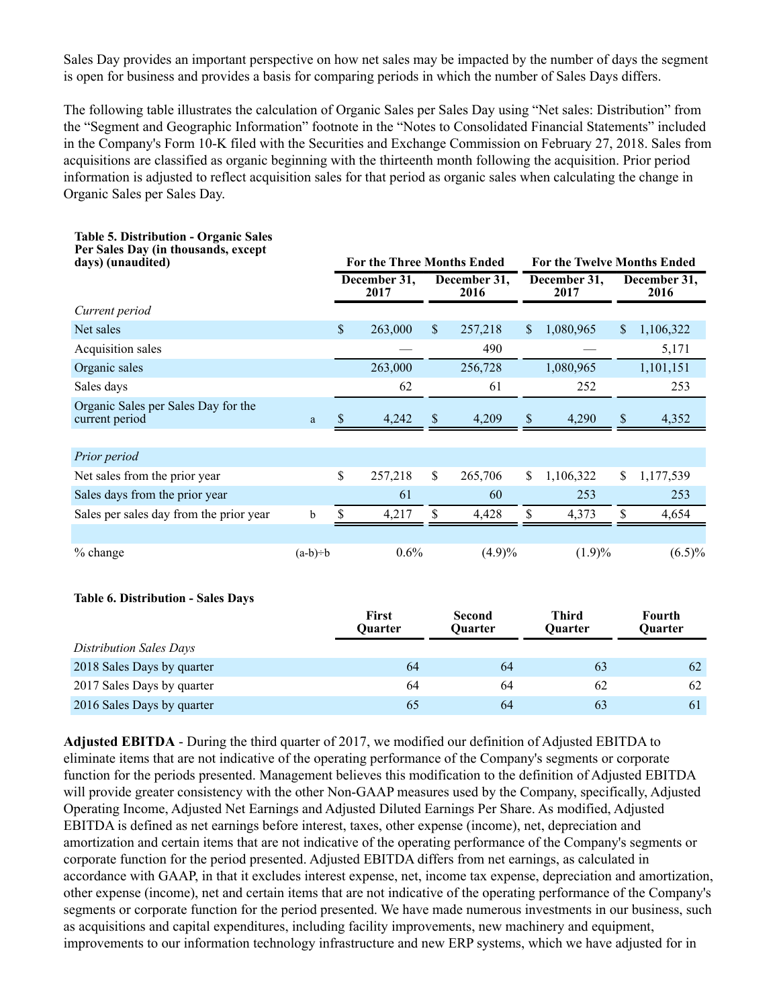Sales Day provides an important perspective on how net sales may be impacted by the number of days the segment is open for business and provides a basis for comparing periods in which the number of Sales Days differs.

The following table illustrates the calculation of Organic Sales per Sales Day using "Net sales: Distribution" from the "Segment and Geographic Information" footnote in the "Notes to Consolidated Financial Statements" included in the Company's Form 10-K filed with the Securities and Exchange Commission on February 27, 2018. Sales from acquisitions are classified as organic beginning with the thirteenth month following the acquisition. Prior period information is adjusted to reflect acquisition sales for that period as organic sales when calculating the change in Organic Sales per Sales Day.

| <b>Table 5. Distribution - Organic Sales</b><br>Per Sales Day (in thousands, except<br>days) (unaudited) |           | <b>For the Three Months Ended</b> |                                |                           |                                 |                           |                                | <b>For the Twelve Months Ended</b> |                          |  |  |  |  |  |
|----------------------------------------------------------------------------------------------------------|-----------|-----------------------------------|--------------------------------|---------------------------|---------------------------------|---------------------------|--------------------------------|------------------------------------|--------------------------|--|--|--|--|--|
|                                                                                                          |           |                                   | December 31,<br>2017           |                           | December 31,<br>2016            |                           | December 31,<br>2017           |                                    | December 31,<br>2016     |  |  |  |  |  |
| Current period                                                                                           |           |                                   |                                |                           |                                 |                           |                                |                                    |                          |  |  |  |  |  |
| Net sales                                                                                                |           | $\mathbf{\hat{S}}$                | 263,000                        | \$.                       | 257,218                         | \$                        | 1,080,965                      | <sup>\$</sup>                      | 1,106,322                |  |  |  |  |  |
| Acquisition sales                                                                                        |           |                                   |                                |                           | 490                             |                           |                                |                                    | 5,171                    |  |  |  |  |  |
| Organic sales                                                                                            |           |                                   | 263,000                        |                           | 256,728                         |                           | 1,080,965                      |                                    | 1,101,151                |  |  |  |  |  |
| Sales days                                                                                               |           |                                   | 62                             |                           | 61                              |                           | 252                            |                                    | 253                      |  |  |  |  |  |
| Organic Sales per Sales Day for the<br>current period                                                    | a         | S                                 | 4,242                          | $\boldsymbol{\mathsf{S}}$ | 4,209                           | $\boldsymbol{\mathsf{S}}$ | 4,290                          | \$                                 | 4,352                    |  |  |  |  |  |
|                                                                                                          |           |                                   |                                |                           |                                 |                           |                                |                                    |                          |  |  |  |  |  |
| Prior period                                                                                             |           |                                   |                                |                           |                                 |                           |                                |                                    |                          |  |  |  |  |  |
| Net sales from the prior year                                                                            |           | \$                                | 257,218                        | \$                        | 265,706                         | \$                        | 1,106,322                      | \$                                 | 1,177,539                |  |  |  |  |  |
| Sales days from the prior year                                                                           |           |                                   | 61                             |                           | 60                              |                           | 253                            |                                    | 253                      |  |  |  |  |  |
| Sales per sales day from the prior year                                                                  | b         | \$                                | 4,217                          | \$                        | 4,428                           | \$                        | 4,373                          | \$                                 | 4,654                    |  |  |  |  |  |
|                                                                                                          |           |                                   |                                |                           |                                 |                           |                                |                                    |                          |  |  |  |  |  |
| % change                                                                                                 | $(a-b)=b$ |                                   | 0.6%                           |                           | $(4.9)\%$                       |                           | $(1.9)\%$                      |                                    | $(6.5)\%$                |  |  |  |  |  |
| <b>Table 6. Distribution - Sales Days</b>                                                                |           |                                   |                                |                           |                                 |                           |                                |                                    |                          |  |  |  |  |  |
|                                                                                                          |           |                                   | <b>First</b><br><b>Ouarter</b> |                           | <b>Second</b><br><b>Ouarter</b> |                           | <b>Third</b><br><b>Ouarter</b> |                                    | <b>Fourth</b><br>Quarter |  |  |  |  |  |
| $D_{1}$ $(1)$ $(1)$ $D_{1}$                                                                              |           |                                   |                                |                           |                                 |                           |                                |                                    |                          |  |  |  |  |  |

|                                | Ouarter | Ouarter | Ouarter | <b>Uuarter</b> |
|--------------------------------|---------|---------|---------|----------------|
| <b>Distribution Sales Days</b> |         |         |         |                |
| 2018 Sales Days by quarter     | 64      | 64      | 63      | 62             |
| 2017 Sales Days by quarter     | 64      | 64      | 62      | 62             |
| 2016 Sales Days by quarter     | 65      | 64      | 63      | 61             |

**Adjusted EBITDA** - During the third quarter of 2017, we modified our definition of Adjusted EBITDA to eliminate items that are not indicative of the operating performance of the Company's segments or corporate function for the periods presented. Management believes this modification to the definition of Adjusted EBITDA will provide greater consistency with the other Non-GAAP measures used by the Company, specifically, Adjusted Operating Income, Adjusted Net Earnings and Adjusted Diluted Earnings Per Share. As modified, Adjusted EBITDA is defined as net earnings before interest, taxes, other expense (income), net, depreciation and amortization and certain items that are not indicative of the operating performance of the Company's segments or corporate function for the period presented. Adjusted EBITDA differs from net earnings, as calculated in accordance with GAAP, in that it excludes interest expense, net, income tax expense, depreciation and amortization, other expense (income), net and certain items that are not indicative of the operating performance of the Company's segments or corporate function for the period presented. We have made numerous investments in our business, such as acquisitions and capital expenditures, including facility improvements, new machinery and equipment, improvements to our information technology infrastructure and new ERP systems, which we have adjusted for in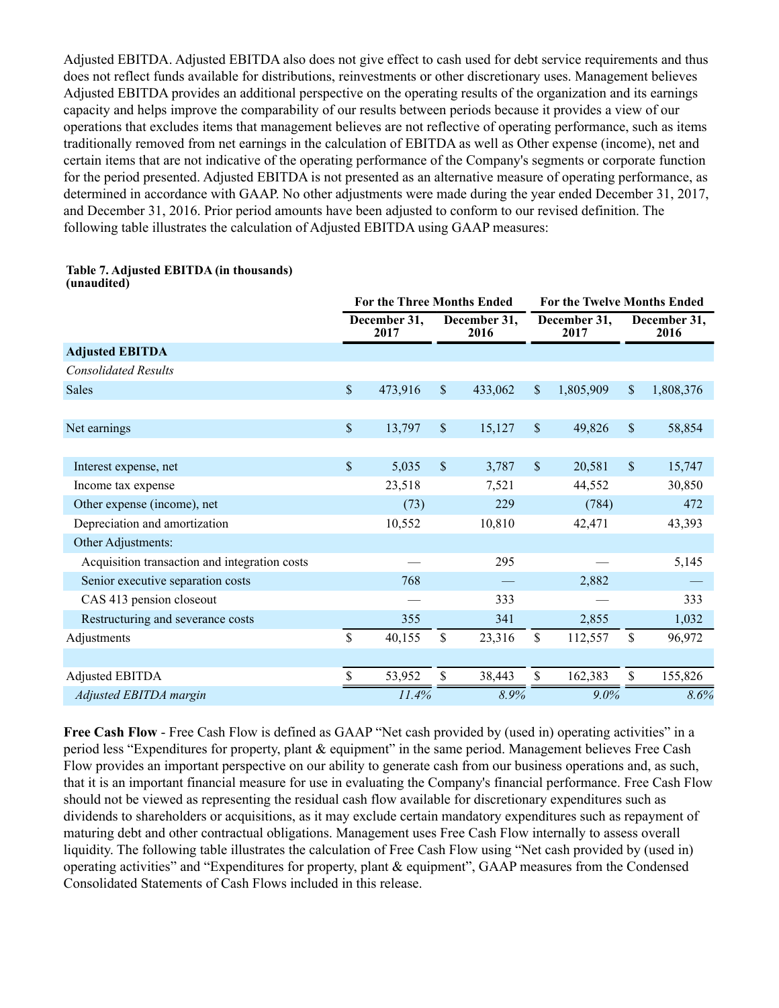Adjusted EBITDA. Adjusted EBITDA also does not give effect to cash used for debt service requirements and thus does not reflect funds available for distributions, reinvestments or other discretionary uses. Management believes Adjusted EBITDA provides an additional perspective on the operating results of the organization and its earnings capacity and helps improve the comparability of our results between periods because it provides a view of our operations that excludes items that management believes are not reflective of operating performance, such as items traditionally removed from net earnings in the calculation of EBITDA as well as Other expense (income), net and certain items that are not indicative of the operating performance of the Company's segments or corporate function for the period presented. Adjusted EBITDA is not presented as an alternative measure of operating performance, as determined in accordance with GAAP. No other adjustments were made during the year ended December 31, 2017, and December 31, 2016. Prior period amounts have been adjusted to conform to our revised definition. The following table illustrates the calculation of Adjusted EBITDA using GAAP measures:

#### **Table 7. Adjusted EBITDA (in thousands) (unaudited)**

|                                               |               | For the Three Months Ended |                      |         |                      | For the Twelve Months Ended |               |                      |  |  |  |
|-----------------------------------------------|---------------|----------------------------|----------------------|---------|----------------------|-----------------------------|---------------|----------------------|--|--|--|
|                                               |               | December 31,<br>2017       | December 31,<br>2016 |         | December 31,<br>2017 |                             |               | December 31,<br>2016 |  |  |  |
| <b>Adjusted EBITDA</b>                        |               |                            |                      |         |                      |                             |               |                      |  |  |  |
| <b>Consolidated Results</b>                   |               |                            |                      |         |                      |                             |               |                      |  |  |  |
| <b>Sales</b>                                  | $\mathcal{S}$ | 473,916                    | $\mathbb{S}$         | 433,062 | $\mathcal{S}$        | 1,805,909                   | \$            | 1,808,376            |  |  |  |
|                                               |               |                            |                      |         |                      |                             |               |                      |  |  |  |
| Net earnings                                  | \$            | 13,797                     | $\mathbb{S}$         | 15,127  | \$                   | 49,826                      | \$            | 58,854               |  |  |  |
|                                               |               |                            |                      |         |                      |                             |               |                      |  |  |  |
| Interest expense, net                         | \$            | 5,035                      | $\mathbb{S}$         | 3,787   | \$                   | 20,581                      | $\mathsf{\$}$ | 15,747               |  |  |  |
| Income tax expense                            |               | 23,518                     |                      | 7,521   |                      | 44,552                      |               | 30,850               |  |  |  |
| Other expense (income), net                   |               | (73)                       |                      | 229     |                      | (784)                       |               | 472                  |  |  |  |
| Depreciation and amortization                 |               | 10,552                     |                      | 10,810  |                      | 42,471                      |               | 43,393               |  |  |  |
| Other Adjustments:                            |               |                            |                      |         |                      |                             |               |                      |  |  |  |
| Acquisition transaction and integration costs |               |                            |                      | 295     |                      |                             |               | 5,145                |  |  |  |
| Senior executive separation costs             |               | 768                        |                      |         |                      | 2,882                       |               |                      |  |  |  |
| CAS 413 pension closeout                      |               |                            |                      | 333     |                      |                             |               | 333                  |  |  |  |
| Restructuring and severance costs             |               | 355                        |                      | 341     |                      | 2,855                       |               | 1,032                |  |  |  |
| Adjustments                                   | \$            | 40,155                     | \$                   | 23,316  | \$                   | 112,557                     | \$            | 96,972               |  |  |  |
|                                               |               |                            |                      |         |                      |                             |               |                      |  |  |  |
| Adjusted EBITDA                               | \$            | 53,952                     | \$                   | 38,443  | \$                   | 162,383                     | S.            | 155,826              |  |  |  |
| <b>Adjusted EBITDA margin</b>                 |               | 11.4%                      |                      | 8.9%    |                      | $9.0\%$                     |               | 8.6%                 |  |  |  |

**Free Cash Flow** - Free Cash Flow is defined as GAAP "Net cash provided by (used in) operating activities" in a period less "Expenditures for property, plant & equipment" in the same period. Management believes Free Cash Flow provides an important perspective on our ability to generate cash from our business operations and, as such, that it is an important financial measure for use in evaluating the Company's financial performance. Free Cash Flow should not be viewed as representing the residual cash flow available for discretionary expenditures such as dividends to shareholders or acquisitions, as it may exclude certain mandatory expenditures such as repayment of maturing debt and other contractual obligations. Management uses Free Cash Flow internally to assess overall liquidity. The following table illustrates the calculation of Free Cash Flow using "Net cash provided by (used in) operating activities" and "Expenditures for property, plant & equipment", GAAP measures from the Condensed Consolidated Statements of Cash Flows included in this release.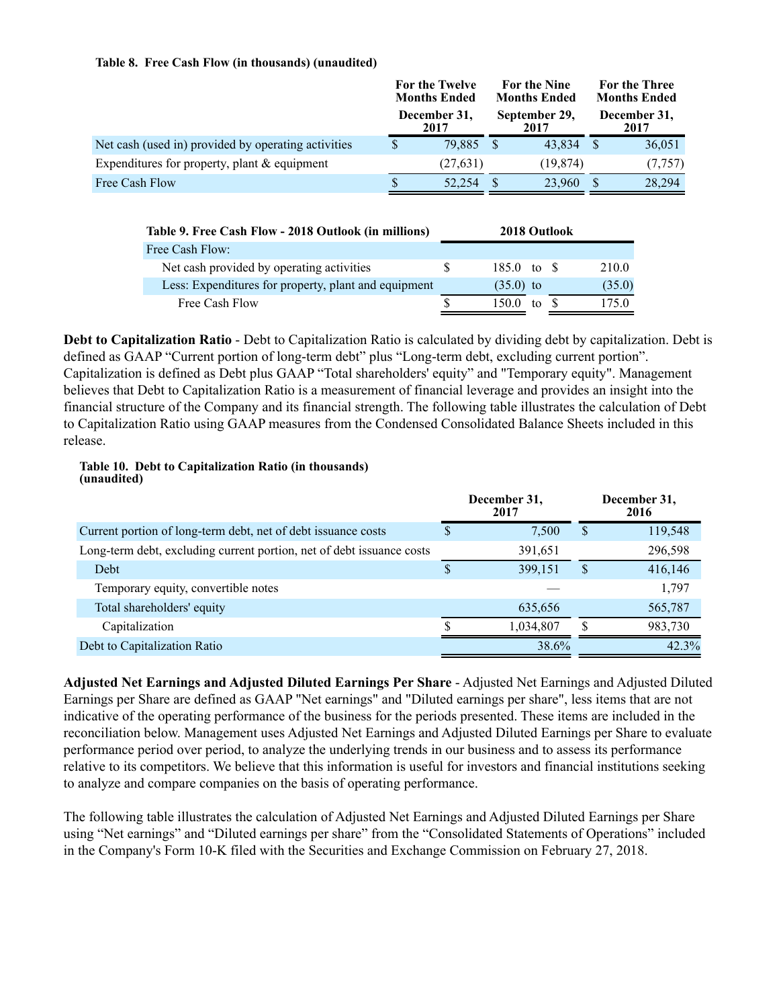|  | Table 8. Free Cash Flow (in thousands) (unaudited) |  |  |
|--|----------------------------------------------------|--|--|
|  |                                                    |  |  |

|                                                     | For the Twelve<br><b>Months Ended</b> |                      | <b>For the Nine</b><br><b>Months Ended</b> | For the Three<br><b>Months Ended</b> |          |  |
|-----------------------------------------------------|---------------------------------------|----------------------|--------------------------------------------|--------------------------------------|----------|--|
|                                                     |                                       | December 31,<br>2017 | September 29,<br>2017                      | December 31,<br>2017                 |          |  |
| Net cash (used in) provided by operating activities |                                       | 79.885               | 43.834                                     |                                      | 36,051   |  |
| Expenditures for property, plant $&$ equipment      |                                       | (27, 631)            | (19, 874)                                  |                                      | (7, 757) |  |
| Free Cash Flow                                      | S                                     | 52,254               | 23,960                                     |                                      | 28,294   |  |

| Table 9. Free Cash Flow - 2018 Outlook (in millions) | 2018 Outlook |                       |    |  |        |
|------------------------------------------------------|--------------|-----------------------|----|--|--------|
| Free Cash Flow:                                      |              |                       |    |  |        |
| Net cash provided by operating activities            | S            | $185.0 \text{ to } S$ |    |  | 210.0  |
| Less: Expenditures for property, plant and equipment |              | $(35.0)$ to           |    |  | (35.0) |
| Free Cash Flow                                       |              | 150 0                 | to |  | 175 0  |

**Debt to Capitalization Ratio** - Debt to Capitalization Ratio is calculated by dividing debt by capitalization. Debt is defined as GAAP "Current portion of long-term debt" plus "Long-term debt, excluding current portion". Capitalization is defined as Debt plus GAAP "Total shareholders' equity" and "Temporary equity". Management believes that Debt to Capitalization Ratio is a measurement of financial leverage and provides an insight into the financial structure of the Company and its financial strength. The following table illustrates the calculation of Debt to Capitalization Ratio using GAAP measures from the Condensed Consolidated Balance Sheets included in this release.

**Table 10. Debt to Capitalization Ratio (in thousands) (unaudited)**

|                                                                       |   | December 31,<br>2017 |   | December 31,<br>2016 |
|-----------------------------------------------------------------------|---|----------------------|---|----------------------|
| Current portion of long-term debt, net of debt issuance costs         | S | 7,500                | S | 119,548              |
| Long-term debt, excluding current portion, net of debt issuance costs |   | 391,651              |   | 296,598              |
| Debt                                                                  |   | 399,151              | S | 416,146              |
| Temporary equity, convertible notes                                   |   |                      |   | 1,797                |
| Total shareholders' equity                                            |   | 635,656              |   | 565,787              |
| Capitalization                                                        |   | 1,034,807            |   | 983,730              |
| Debt to Capitalization Ratio                                          |   | 38.6%                |   | 42.3%                |

**Adjusted Net Earnings and Adjusted Diluted Earnings Per Share** - Adjusted Net Earnings and Adjusted Diluted Earnings per Share are defined as GAAP "Net earnings" and "Diluted earnings per share", less items that are not indicative of the operating performance of the business for the periods presented. These items are included in the reconciliation below. Management uses Adjusted Net Earnings and Adjusted Diluted Earnings per Share to evaluate performance period over period, to analyze the underlying trends in our business and to assess its performance relative to its competitors. We believe that this information is useful for investors and financial institutions seeking to analyze and compare companies on the basis of operating performance.

The following table illustrates the calculation of Adjusted Net Earnings and Adjusted Diluted Earnings per Share using "Net earnings" and "Diluted earnings per share" from the "Consolidated Statements of Operations" included in the Company's Form 10-K filed with the Securities and Exchange Commission on February 27, 2018.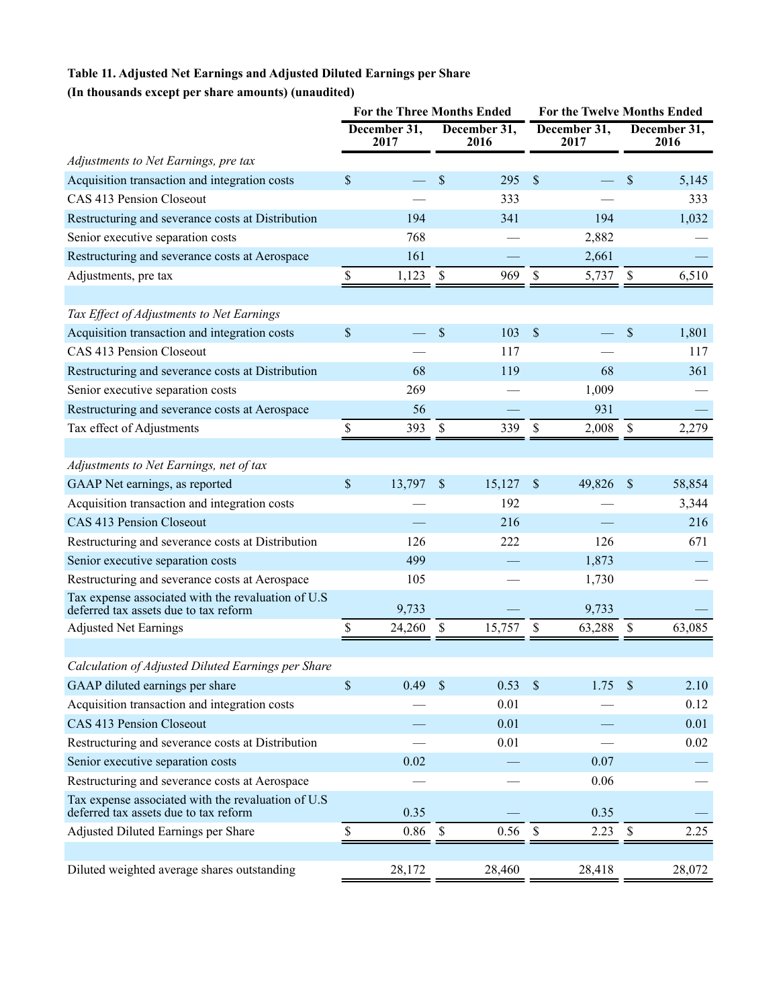# **Table 11. Adjusted Net Earnings and Adjusted Diluted Earnings per Share**

## **(In thousands except per share amounts) (unaudited)**

|                                                                                             |    |                      | <b>For the Three Months Ended</b> |                      |                           |                      | <b>For the Twelve Months Ended</b> |                      |
|---------------------------------------------------------------------------------------------|----|----------------------|-----------------------------------|----------------------|---------------------------|----------------------|------------------------------------|----------------------|
|                                                                                             |    | December 31,<br>2017 |                                   | December 31,<br>2016 |                           | December 31,<br>2017 |                                    | December 31,<br>2016 |
| Adjustments to Net Earnings, pre tax                                                        |    |                      |                                   |                      |                           |                      |                                    |                      |
| Acquisition transaction and integration costs                                               | \$ |                      | \$                                | 295                  | \$                        |                      | \$                                 | 5,145                |
| CAS 413 Pension Closeout                                                                    |    |                      |                                   | 333                  |                           |                      |                                    | 333                  |
| Restructuring and severance costs at Distribution                                           |    | 194                  |                                   | 341                  |                           | 194                  |                                    | 1,032                |
| Senior executive separation costs                                                           |    | 768                  |                                   |                      |                           | 2,882                |                                    |                      |
| Restructuring and severance costs at Aerospace                                              |    | 161                  |                                   |                      |                           | 2,661                |                                    |                      |
| Adjustments, pre tax                                                                        | \$ | 1,123                | \$                                | 969                  | \$                        | 5,737                | \$                                 | 6,510                |
| Tax Effect of Adjustments to Net Earnings                                                   |    |                      |                                   |                      |                           |                      |                                    |                      |
| Acquisition transaction and integration costs                                               | \$ |                      | \$                                | 103                  | $\boldsymbol{\mathsf{S}}$ |                      | \$                                 | 1,801                |
| CAS 413 Pension Closeout                                                                    |    |                      |                                   | 117                  |                           |                      |                                    | 117                  |
| Restructuring and severance costs at Distribution                                           |    | 68                   |                                   | 119                  |                           | 68                   |                                    | 361                  |
| Senior executive separation costs                                                           |    | 269                  |                                   |                      |                           | 1,009                |                                    |                      |
| Restructuring and severance costs at Aerospace                                              |    | 56                   |                                   |                      |                           | 931                  |                                    |                      |
| Tax effect of Adjustments                                                                   | \$ | 393                  | \$                                | 339                  | $\boldsymbol{\mathsf{S}}$ | 2,008                | \$                                 | 2,279                |
|                                                                                             |    |                      |                                   |                      |                           |                      |                                    |                      |
| Adjustments to Net Earnings, net of tax                                                     |    |                      |                                   |                      |                           |                      |                                    |                      |
| GAAP Net earnings, as reported                                                              | \$ | 13,797               | S                                 | 15,127               | S                         | 49,826               | \$                                 | 58,854               |
| Acquisition transaction and integration costs                                               |    |                      |                                   | 192                  |                           |                      |                                    | 3,344                |
| <b>CAS 413 Pension Closeout</b>                                                             |    |                      |                                   | 216                  |                           |                      |                                    | 216                  |
| Restructuring and severance costs at Distribution                                           |    | 126                  |                                   | 222                  |                           | 126                  |                                    | 671                  |
| Senior executive separation costs                                                           |    | 499                  |                                   |                      |                           | 1,873                |                                    |                      |
| Restructuring and severance costs at Aerospace                                              |    | 105                  |                                   |                      |                           | 1,730                |                                    |                      |
| Tax expense associated with the revaluation of U.S<br>deferred tax assets due to tax reform |    | 9,733                |                                   |                      |                           | 9,733                |                                    |                      |
| <b>Adjusted Net Earnings</b>                                                                | S  | 24,260               | \$                                | 15,757               | \$                        | 63,288               | \$                                 | 63,085               |
|                                                                                             |    |                      |                                   |                      |                           |                      |                                    |                      |
| Calculation of Adjusted Diluted Earnings per Share                                          |    |                      |                                   |                      |                           |                      |                                    |                      |
| GAAP diluted earnings per share                                                             | \$ | 0.49                 | $\mathcal{S}$                     | 0.53                 | $\boldsymbol{\mathsf{S}}$ | 1.75                 | $\sqrt{\frac{1}{2}}$               | 2.10                 |
| Acquisition transaction and integration costs                                               |    |                      |                                   | 0.01                 |                           |                      |                                    | 0.12                 |
| CAS 413 Pension Closeout                                                                    |    |                      |                                   | 0.01                 |                           |                      |                                    | 0.01                 |
| Restructuring and severance costs at Distribution                                           |    |                      |                                   | 0.01                 |                           |                      |                                    | 0.02                 |
| Senior executive separation costs                                                           |    | 0.02                 |                                   |                      |                           | 0.07                 |                                    |                      |
| Restructuring and severance costs at Aerospace                                              |    |                      |                                   |                      |                           | 0.06                 |                                    |                      |
| Tax expense associated with the revaluation of U.S<br>deferred tax assets due to tax reform |    | 0.35                 |                                   |                      |                           | 0.35                 |                                    |                      |
| Adjusted Diluted Earnings per Share                                                         | \$ | 0.86                 | \$                                | 0.56                 | \$                        | 2.23                 | \$                                 | 2.25                 |
|                                                                                             |    |                      |                                   |                      |                           |                      |                                    |                      |
| Diluted weighted average shares outstanding                                                 |    | 28,172               |                                   | 28,460               |                           | 28,418               |                                    | 28,072               |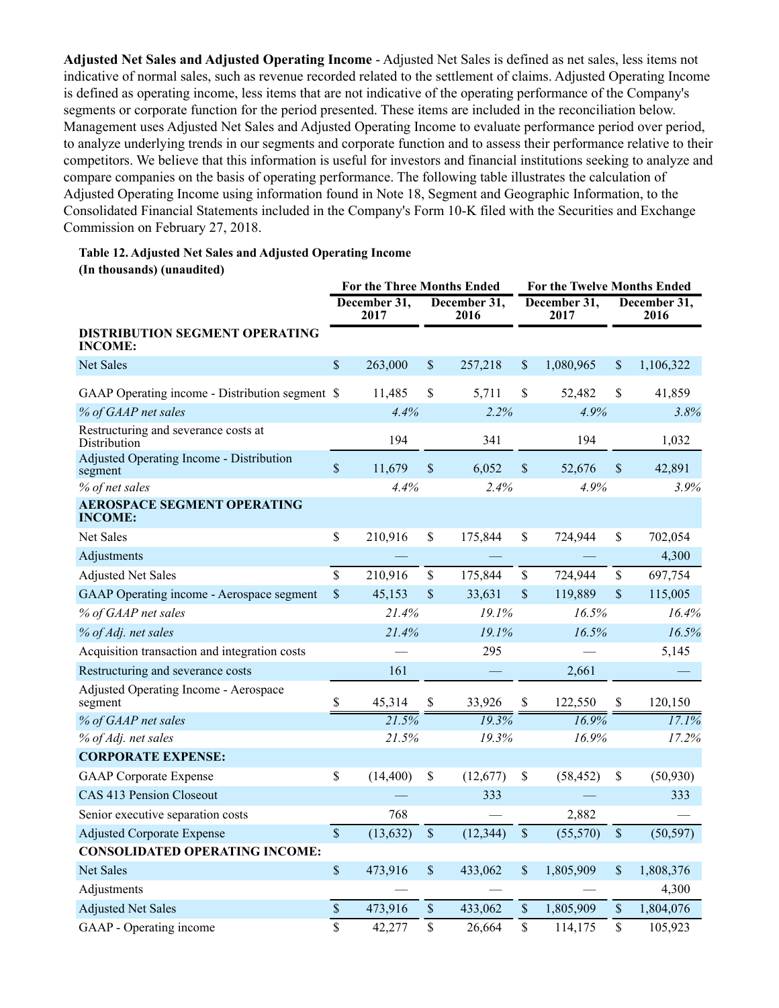**Adjusted Net Sales and Adjusted Operating Income** - Adjusted Net Sales is defined as net sales, less items not indicative of normal sales, such as revenue recorded related to the settlement of claims. Adjusted Operating Income is defined as operating income, less items that are not indicative of the operating performance of the Company's segments or corporate function for the period presented. These items are included in the reconciliation below. Management uses Adjusted Net Sales and Adjusted Operating Income to evaluate performance period over period, to analyze underlying trends in our segments and corporate function and to assess their performance relative to their competitors. We believe that this information is useful for investors and financial institutions seeking to analyze and compare companies on the basis of operating performance. The following table illustrates the calculation of Adjusted Operating Income using information found in Note 18, Segment and Geographic Information, to the Consolidated Financial Statements included in the Company's Form 10-K filed with the Securities and Exchange Commission on February 27, 2018.

### **Table 12. Adjusted Net Sales and Adjusted Operating Income (In thousands) (unaudited)**

|                                                         | For the Three Months Ended |           |                      | For the Twelve Months Ended |                      |                     |              |                      |
|---------------------------------------------------------|----------------------------|-----------|----------------------|-----------------------------|----------------------|---------------------|--------------|----------------------|
|                                                         | December 31,<br>2017       |           | December 31,<br>2016 |                             | December 31,<br>2017 |                     |              | December 31,<br>2016 |
| <b>DISTRIBUTION SEGMENT OPERATING</b><br><b>INCOME:</b> |                            |           |                      |                             |                      |                     |              |                      |
| Net Sales                                               | $\mathsf{\$}$              | 263,000   | $\mathsf{\$}$        | 257,218                     | \$                   | 1,080,965           | \$           | 1,106,322            |
| GAAP Operating income - Distribution segment \$         |                            | 11,485    | \$                   | 5,711                       | \$                   | 52,482              | \$           | 41,859               |
| % of GAAP net sales                                     |                            | 4.4%      |                      | 2.2%                        |                      | 4.9%                |              | 3.8%                 |
| Restructuring and severance costs at<br>Distribution    |                            | 194       |                      | 341                         |                      | 194                 |              | 1,032                |
| Adjusted Operating Income - Distribution<br>segment     | $\mathsf{\$}$              | 11,679    | \$                   | 6,052                       | \$                   | 52,676              | $\sqrt{\ }$  | 42,891               |
| % of net sales                                          |                            | 4.4%      |                      | 2.4%                        |                      | 4.9%                | 3.9%         |                      |
| <b>AEROSPACE SEGMENT OPERATING</b><br><b>INCOME:</b>    |                            |           |                      |                             |                      |                     |              |                      |
| Net Sales                                               | \$                         | 210,916   | \$                   | 175,844                     | \$                   | 724,944             | \$           | 702,054              |
| Adjustments                                             |                            |           |                      |                             |                      |                     |              | 4,300                |
| <b>Adjusted Net Sales</b>                               | \$                         | 210,916   | \$                   | 175,844                     | \$                   | 724,944             | $\mathbb{S}$ | 697,754              |
| GAAP Operating income - Aerospace segment               | $\mathbf{\hat{S}}$         | 45,153    | \$                   | 33,631                      | \$                   | 119,889             | \$           | 115,005              |
| % of GAAP net sales                                     |                            | 21.4%     |                      | 19.1%                       |                      | 16.5%               |              | 16.4%                |
| % of Adj. net sales                                     |                            | 21.4%     |                      | 19.1%                       |                      | 16.5%               |              | 16.5%                |
| Acquisition transaction and integration costs           |                            |           |                      | 295                         |                      |                     |              | 5,145                |
| Restructuring and severance costs                       |                            | 161       |                      |                             |                      | 2,661               |              |                      |
| Adjusted Operating Income - Aerospace<br>segment        | $\mathbb S$                | 45,314    | S                    | 33,926                      | \$                   | 122,550             | S            | 120,150              |
| % of GAAP net sales                                     |                            | 21.5%     |                      | 19.3%                       |                      | $\overline{16.9\%}$ |              | 17.1%                |
| % of Adj. net sales                                     |                            | 21.5%     |                      | 19.3%                       |                      | 16.9%               |              | 17.2%                |
| <b>CORPORATE EXPENSE:</b>                               |                            |           |                      |                             |                      |                     |              |                      |
| <b>GAAP</b> Corporate Expense                           | \$                         | (14, 400) | \$                   | (12,677)                    | \$                   | (58, 452)           | \$           | (50, 930)            |
| CAS 413 Pension Closeout                                |                            |           |                      | 333                         |                      |                     |              | 333                  |
| Senior executive separation costs                       |                            | 768       |                      |                             |                      | 2,882               |              |                      |
| <b>Adjusted Corporate Expense</b>                       | $\overline{\$}$            | (13, 632) | $\mathsf{\$}$        | (12, 344)                   | $\mathcal{S}$        | (55, 570)           | $\sqrt{\ }$  | (50, 597)            |
| <b>CONSOLIDATED OPERATING INCOME:</b>                   |                            |           |                      |                             |                      |                     |              |                      |
| <b>Net Sales</b>                                        | $\mathsf{\$}$              | 473,916   | $\$$                 | 433,062                     | \$                   | 1,805,909           | \$           | 1,808,376            |
| Adjustments                                             |                            |           |                      |                             |                      |                     |              | 4,300                |
| <b>Adjusted Net Sales</b>                               | $\sqrt{\ }$                | 473,916   | $\mathsf{\$}$        | 433,062                     | \$                   | 1,805,909           | $\sqrt{\ }$  | 1,804,076            |
| GAAP - Operating income                                 | $\mathbf{\hat{S}}$         | 42,277    | \$                   | 26,664                      | \$                   | 114,175             | \$           | 105,923              |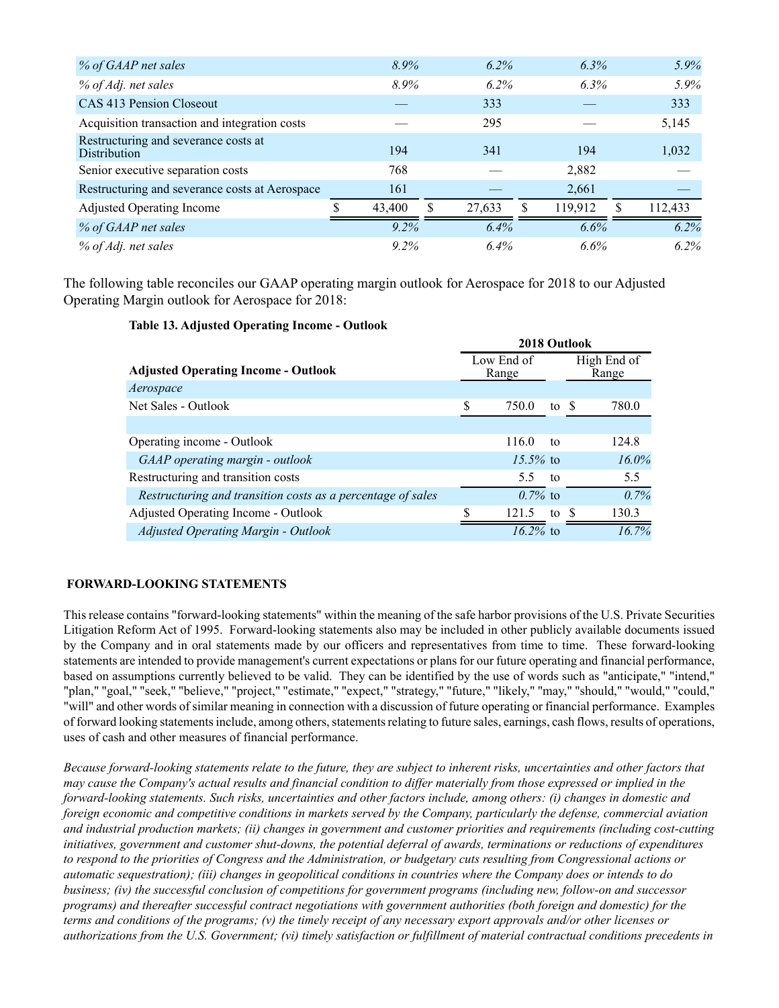| % of GAAP net sales                                  | 8.9%    |   | $6.2\%$ |   | 6.3%    | 5.9%    |
|------------------------------------------------------|---------|---|---------|---|---------|---------|
| % of Adj. net sales                                  | 8.9%    |   | 6.2%    |   | 6.3%    | 5.9%    |
| CAS 413 Pension Closeout                             |         |   | 333     |   |         | 333     |
| Acquisition transaction and integration costs        |         |   | 295     |   |         | 5,145   |
| Restructuring and severance costs at<br>Distribution | 194     |   | 341     |   | 194     | 1,032   |
| Senior executive separation costs                    | 768     |   |         |   | 2,882   |         |
| Restructuring and severance costs at Aerospace       | 161     |   |         |   | 2,661   |         |
| <b>Adjusted Operating Income</b>                     | 43,400  | S | 27,633  | S | 119,912 | 112,433 |
| % of GAAP net sales                                  | 9.2%    |   | 6.4%    |   | 6.6%    | 6.2%    |
| % of Adj. net sales                                  | $9.2\%$ |   | 6.4%    |   | 6.6%    | $6.2\%$ |

The following table reconciles our GAAP operating margin outlook for Aerospace for 2018 to our Adjusted Operating Margin outlook for Aerospace for 2018:

#### **Table 13. Adjusted Operating Income - Outlook**

|                                                             | 2018 Outlook |                     |       |                      |          |  |  |  |  |  |  |
|-------------------------------------------------------------|--------------|---------------------|-------|----------------------|----------|--|--|--|--|--|--|
| <b>Adjusted Operating Income - Outlook</b>                  |              | Low End of<br>Range |       | High End of<br>Range |          |  |  |  |  |  |  |
| Aerospace                                                   |              |                     |       |                      |          |  |  |  |  |  |  |
| Net Sales - Outlook                                         | \$           | 750.0               | to \$ |                      | 780.0    |  |  |  |  |  |  |
|                                                             |              |                     |       |                      |          |  |  |  |  |  |  |
| Operating income - Outlook                                  |              | 116.0               | to    |                      | 124.8    |  |  |  |  |  |  |
| GAAP operating margin - outlook                             |              | $15.5\%$ to         |       |                      | $16.0\%$ |  |  |  |  |  |  |
| Restructuring and transition costs                          |              | 5.5                 | to    |                      | 5.5      |  |  |  |  |  |  |
| Restructuring and transition costs as a percentage of sales |              | $0.7\%$ to          |       |                      | 0.7%     |  |  |  |  |  |  |
| Adjusted Operating Income - Outlook                         | \$           | 121.5               | to    |                      | 130.3    |  |  |  |  |  |  |
| <b>Adjusted Operating Margin - Outlook</b>                  |              | $16.2\%$ to         |       |                      | 16.7%    |  |  |  |  |  |  |

#### **FORWARD-LOOKING STATEMENTS**

This release contains "forward-looking statements" within the meaning of the safe harbor provisions of the U.S. Private Securities Litigation Reform Act of 1995. Forward-looking statements also may be included in other publicly available documents issued by the Company and in oral statements made by our officers and representatives from time to time. These forward-looking statements are intended to provide management's current expectations or plans for our future operating and financial performance, based on assumptions currently believed to be valid. They can be identified by the use of words such as "anticipate," "intend," "plan," "goal," "seek," "believe," "project," "estimate," "expect," "strategy," "future," "likely," "may," "should," "would," "could," "will" and other words of similar meaning in connection with a discussion of future operating or financial performance. Examples of forward looking statements include, among others, statements relating to future sales, earnings, cash flows, results of operations, uses of cash and other measures of financial performance.

*Because forward-looking statements relate to the future, they are subject to inherent risks, uncertainties and other factors that may cause the Company's actual results and financial condition to differ materially from those expressed or implied in the forward-looking statements. Such risks, uncertainties and other factors include, among others: (i) changes in domestic and foreign economic and competitive conditions in markets served by the Company, particularly the defense, commercial aviation and industrial production markets; (ii) changes in government and customer priorities and requirements (including cost-cutting initiatives, government and customer shut-downs, the potential deferral of awards, terminations or reductions of expenditures to respond to the priorities of Congress and the Administration, or budgetary cuts resulting from Congressional actions or automatic sequestration); (iii) changes in geopolitical conditions in countries where the Company does or intends to do business; (iv) the successful conclusion of competitions for government programs (including new, follow-on and successor programs) and thereafter successful contract negotiations with government authorities (both foreign and domestic) for the terms and conditions of the programs; (v) the timely receipt of any necessary export approvals and/or other licenses or authorizations from the U.S. Government; (vi) timely satisfaction or fulfillment of material contractual conditions precedents in*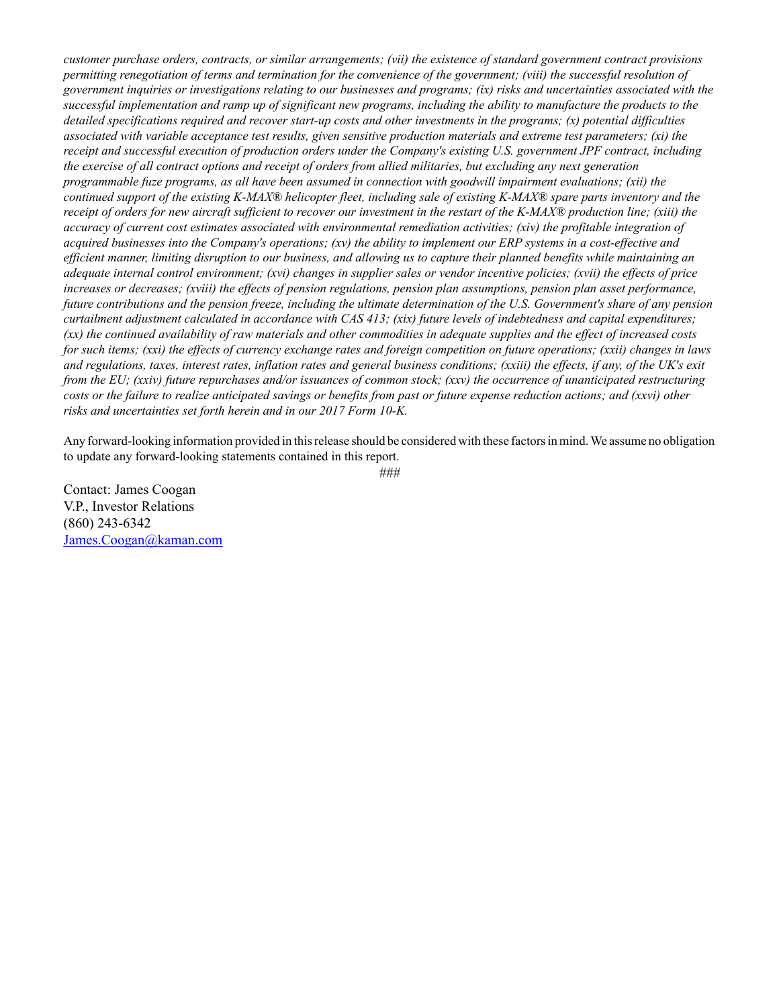*customer purchase orders, contracts, or similar arrangements; (vii) the existence of standard government contract provisions permitting renegotiation of terms and termination for the convenience of the government; (viii) the successful resolution of government inquiries or investigations relating to our businesses and programs; (ix) risks and uncertainties associated with the successful implementation and ramp up of significant new programs, including the ability to manufacture the products to the detailed specifications required and recover start-up costs and other investments in the programs; (x) potential difficulties associated with variable acceptance test results, given sensitive production materials and extreme test parameters; (xi) the receipt and successful execution of production orders under the Company's existing U.S. government JPF contract, including the exercise of all contract options and receipt of orders from allied militaries, but excluding any next generation programmable fuze programs, as all have been assumed in connection with goodwill impairment evaluations; (xii) the continued support of the existing K-MAX® helicopter fleet, including sale of existing K-MAX® spare parts inventory and the receipt of orders for new aircraft sufficient to recover our investment in the restart of the K-MAX® production line; (xiii) the accuracy of current cost estimates associated with environmental remediation activities; (xiv) the profitable integration of acquired businesses into the Company's operations; (xv) the ability to implement our ERP systems in a cost-effective and efficient manner, limiting disruption to our business, and allowing us to capture their planned benefits while maintaining an adequate internal control environment; (xvi) changes in supplier sales or vendor incentive policies; (xvii) the effects of price increases or decreases; (xviii) the effects of pension regulations, pension plan assumptions, pension plan asset performance, future contributions and the pension freeze, including the ultimate determination of the U.S. Government's share of any pension curtailment adjustment calculated in accordance with CAS 413; (xix) future levels of indebtedness and capital expenditures; (xx) the continued availability of raw materials and other commodities in adequate supplies and the effect of increased costs for such items; (xxi) the effects of currency exchange rates and foreign competition on future operations; (xxii) changes in laws and regulations, taxes, interest rates, inflation rates and general business conditions; (xxiii) the effects, if any, of the UK's exit from the EU; (xxiv) future repurchases and/or issuances of common stock; (xxv) the occurrence of unanticipated restructuring costs or the failure to realize anticipated savings or benefits from past or future expense reduction actions; and (xxvi) other risks and uncertainties set forth herein and in our 2017 Form 10-K.*

Any forward-looking information provided in this release should be considered with these factors in mind. We assume no obligation to update any forward-looking statements contained in this report.

*###*

Contact: James Coogan V.P., Investor Relations (860) 243-6342 James.Coogan@kaman.com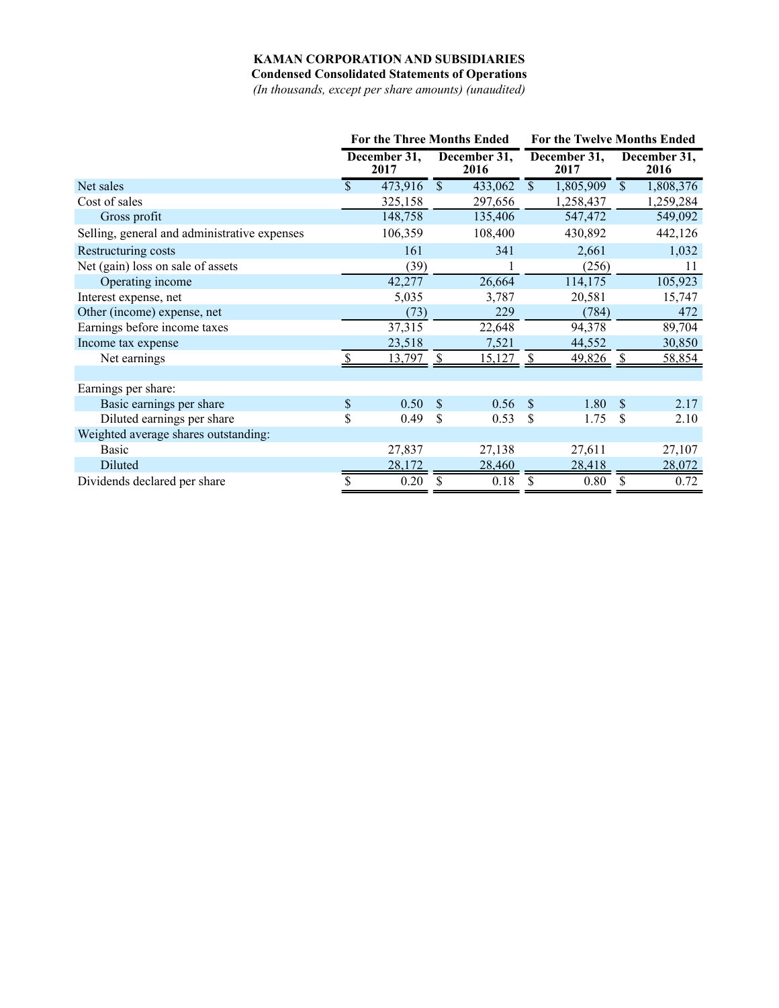## **KAMAN CORPORATION AND SUBSIDIARIES**

**Condensed Consolidated Statements of Operations**

*(In thousands, except per share amounts) (unaudited)*

|                                              | <b>For the Three Months Ended</b> |         |                      | <b>For the Twelve Months Ended</b> |                      |           |                      |           |
|----------------------------------------------|-----------------------------------|---------|----------------------|------------------------------------|----------------------|-----------|----------------------|-----------|
|                                              | December 31,<br>2017              |         | December 31,<br>2016 |                                    | December 31,<br>2017 |           | December 31,<br>2016 |           |
| Net sales                                    | \$.                               | 473,916 | $\mathbb{S}$         | 433,062                            | $\mathsf{\$}$        | 1,805,909 | $\mathbb{S}$         | 1,808,376 |
| Cost of sales                                |                                   | 325,158 |                      | 297,656                            |                      | 1,258,437 |                      | 1,259,284 |
| Gross profit                                 |                                   | 148,758 |                      | 135,406                            |                      | 547,472   |                      | 549,092   |
| Selling, general and administrative expenses |                                   | 106,359 |                      | 108,400                            |                      | 430,892   |                      | 442,126   |
| Restructuring costs                          |                                   | 161     |                      | 341                                |                      | 2,661     |                      | 1,032     |
| Net (gain) loss on sale of assets            |                                   | (39)    |                      |                                    |                      | (256)     |                      | 11        |
| Operating income                             |                                   | 42,277  |                      | 26,664                             |                      | 114,175   |                      | 105,923   |
| Interest expense, net                        |                                   | 5,035   |                      | 3,787                              |                      | 20,581    |                      | 15,747    |
| Other (income) expense, net                  |                                   | (73)    |                      | 229                                |                      | (784)     |                      | 472       |
| Earnings before income taxes                 |                                   | 37,315  |                      | 22,648                             |                      | 94,378    |                      | 89,704    |
| Income tax expense                           |                                   | 23,518  |                      | 7,521                              |                      | 44,552    |                      | 30,850    |
| Net earnings                                 |                                   | 13,797  | \$                   | 15,127                             | \$                   | 49,826    |                      | 58,854    |
|                                              |                                   |         |                      |                                    |                      |           |                      |           |
| Earnings per share:                          |                                   |         |                      |                                    |                      |           |                      |           |
| Basic earnings per share                     | \$                                | 0.50    | <sup>\$</sup>        | 0.56                               | $\mathbb{S}$         | 1.80      | <sup>\$</sup>        | 2.17      |
| Diluted earnings per share                   | \$                                | 0.49    | \$                   | 0.53                               | \$                   | 1.75      | S                    | 2.10      |
| Weighted average shares outstanding:         |                                   |         |                      |                                    |                      |           |                      |           |
| Basic                                        |                                   | 27,837  |                      | 27,138                             |                      | 27,611    |                      | 27,107    |
| Diluted                                      |                                   | 28,172  |                      | 28,460                             |                      | 28,418    |                      | 28,072    |
| Dividends declared per share                 | \$                                | 0.20    | \$                   | 0.18                               | \$                   | 0.80      | \$                   | 0.72      |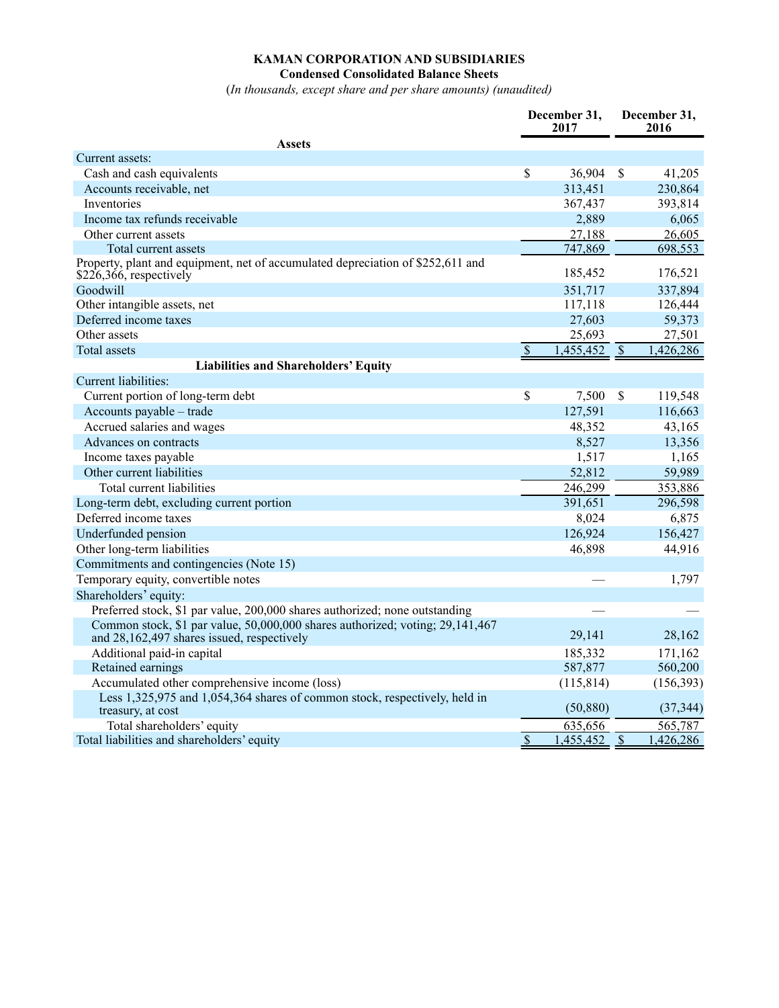## **KAMAN CORPORATION AND SUBSIDIARIES Condensed Consolidated Balance Sheets**

(*In thousands, except share and per share amounts) (unaudited)*

|                                                                                                                             | December 31,<br>2017     |            | December 31,<br>2016     |            |
|-----------------------------------------------------------------------------------------------------------------------------|--------------------------|------------|--------------------------|------------|
| <b>Assets</b>                                                                                                               |                          |            |                          |            |
| Current assets:                                                                                                             |                          |            |                          |            |
| Cash and cash equivalents                                                                                                   | \$                       | 36,904     | <sup>\$</sup>            | 41,205     |
| Accounts receivable, net                                                                                                    |                          | 313,451    |                          | 230,864    |
| Inventories                                                                                                                 |                          | 367,437    |                          | 393,814    |
| Income tax refunds receivable                                                                                               |                          | 2,889      |                          | 6,065      |
| Other current assets                                                                                                        |                          | 27,188     |                          | 26,605     |
| Total current assets                                                                                                        |                          | 747,869    |                          | 698,553    |
| Property, plant and equipment, net of accumulated depreciation of \$252,611 and<br>$$226,366$ , respectively                |                          | 185,452    |                          | 176,521    |
| Goodwill                                                                                                                    |                          | 351,717    |                          | 337,894    |
| Other intangible assets, net                                                                                                |                          | 117,118    |                          | 126,444    |
| Deferred income taxes                                                                                                       |                          | 27,603     |                          | 59,373     |
| Other assets                                                                                                                |                          | 25,693     |                          | 27,501     |
| Total assets                                                                                                                | $\overline{\mathcal{S}}$ | 1,455,452  | $\mathcal{S}$            | 1,426,286  |
| <b>Liabilities and Shareholders' Equity</b>                                                                                 |                          |            |                          |            |
| Current liabilities:                                                                                                        |                          |            |                          |            |
| Current portion of long-term debt                                                                                           | \$                       | 7,500      | $\mathcal{S}$            | 119,548    |
| Accounts payable - trade                                                                                                    |                          | 127,591    |                          | 116,663    |
| Accrued salaries and wages                                                                                                  |                          | 48,352     |                          | 43,165     |
| Advances on contracts                                                                                                       |                          | 8,527      |                          | 13,356     |
| Income taxes payable                                                                                                        |                          | 1,517      |                          | 1,165      |
| Other current liabilities                                                                                                   |                          | 52,812     |                          | 59,989     |
| Total current liabilities                                                                                                   |                          | 246,299    |                          | 353,886    |
| Long-term debt, excluding current portion                                                                                   |                          | 391,651    |                          | 296,598    |
| Deferred income taxes                                                                                                       |                          | 8,024      |                          | 6,875      |
| Underfunded pension                                                                                                         |                          | 126,924    |                          | 156,427    |
| Other long-term liabilities                                                                                                 |                          | 46,898     |                          | 44,916     |
| Commitments and contingencies (Note 15)                                                                                     |                          |            |                          |            |
| Temporary equity, convertible notes                                                                                         |                          |            |                          | 1,797      |
| Shareholders' equity:                                                                                                       |                          |            |                          |            |
| Preferred stock, \$1 par value, 200,000 shares authorized; none outstanding                                                 |                          |            |                          |            |
| Common stock, \$1 par value, 50,000,000 shares authorized; voting; 29,141,467<br>and 28,162,497 shares issued, respectively |                          | 29,141     |                          | 28,162     |
| Additional paid-in capital                                                                                                  |                          | 185,332    |                          | 171,162    |
| Retained earnings                                                                                                           |                          | 587,877    |                          | 560,200    |
| Accumulated other comprehensive income (loss)                                                                               |                          | (115, 814) |                          | (156, 393) |
| Less 1,325,975 and 1,054,364 shares of common stock, respectively, held in<br>treasury, at cost                             |                          | (50, 880)  |                          | (37, 344)  |
| Total shareholders' equity                                                                                                  |                          | 635,656    |                          | 565,787    |
| Total liabilities and shareholders' equity                                                                                  | $\overline{\$}$          | 1,455,452  | $\overline{\mathcal{S}}$ | 1,426,286  |